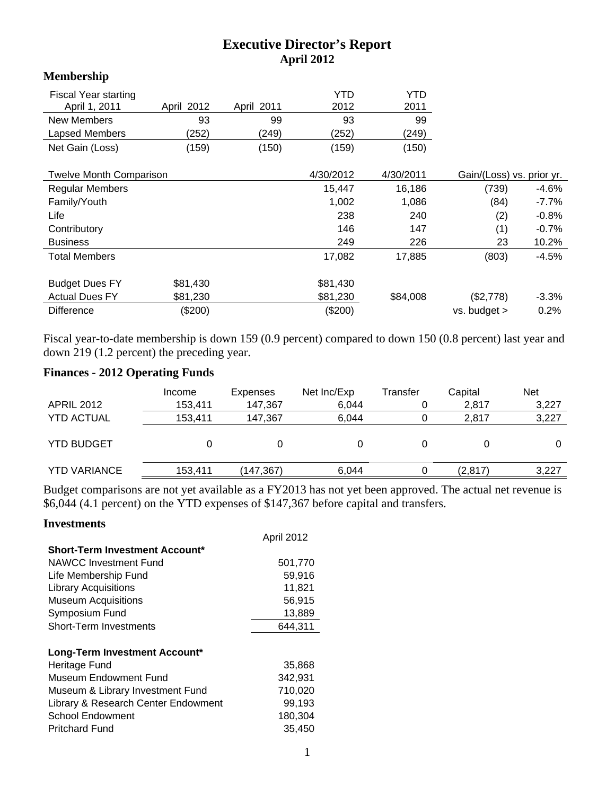## **Executive Director's Report April 2012**

### **Membership**

| <b>Fiscal Year starting</b><br>April 1, 2011<br>New Members | April 2012<br>93 | April 2011<br>99 | YTD<br>2012<br>93 | YTD<br>2011<br>99 |                           |         |
|-------------------------------------------------------------|------------------|------------------|-------------------|-------------------|---------------------------|---------|
| Lapsed Members                                              | (252)            | (249)            | (252)             | (249)             |                           |         |
| Net Gain (Loss)                                             | (159)            | (150)            | (159)             | (150)             |                           |         |
| <b>Twelve Month Comparison</b>                              |                  |                  | 4/30/2012         | 4/30/2011         | Gain/(Loss) vs. prior yr. |         |
| <b>Regular Members</b>                                      |                  |                  | 15,447            | 16,186            | (739)                     | -4.6%   |
| Family/Youth                                                |                  |                  | 1,002             | 1,086             | (84)                      | -7.7%   |
| Life                                                        |                  |                  | 238               | 240               | (2)                       | $-0.8%$ |
| Contributory                                                |                  |                  | 146               | 147               | (1)                       | $-0.7%$ |
| <b>Business</b>                                             |                  |                  | 249               | 226               | 23                        | 10.2%   |
| <b>Total Members</b>                                        |                  |                  | 17,082            | 17,885            | (803)                     | $-4.5%$ |
| <b>Budget Dues FY</b>                                       | \$81,430         |                  | \$81,430          |                   |                           |         |
| <b>Actual Dues FY</b>                                       | \$81,230         |                  | \$81,230          | \$84,008          | (\$2,778)                 | $-3.3%$ |
| <b>Difference</b>                                           | (\$200)          |                  | (\$200)           |                   | vs. budget >              | 0.2%    |

Fiscal year-to-date membership is down 159 (0.9 percent) compared to down 150 (0.8 percent) last year and down 219 (1.2 percent) the preceding year.

## **Finances - 2012 Operating Funds**

| <b>APRIL 2012</b>   | Income<br>153,411 | Expenses<br>147.367 | Net Inc/Exp<br>6,044 | Transfer | Capital<br>2,817 | <b>Net</b><br>3,227 |
|---------------------|-------------------|---------------------|----------------------|----------|------------------|---------------------|
| <b>YTD ACTUAL</b>   | 153.411           | 147.367             | 6.044                |          | 2.817            | 3,227               |
| <b>YTD BUDGET</b>   |                   |                     |                      |          |                  |                     |
| <b>YTD VARIANCE</b> | 153,411           | (147,367)           | 6.044                |          | (2,817)          | 3,227               |

Budget comparisons are not yet available as a FY2013 has not yet been approved. The actual net revenue is \$6,044 (4.1 percent) on the YTD expenses of \$147,367 before capital and transfers.

#### **Investments**

|                                       | April 2012 |
|---------------------------------------|------------|
| <b>Short-Term Investment Account*</b> |            |
| <b>NAWCC Investment Fund</b>          | 501,770    |
| Life Membership Fund                  | 59,916     |
| <b>Library Acquisitions</b>           | 11,821     |
| <b>Museum Acquisitions</b>            | 56,915     |
| Symposium Fund                        | 13,889     |
| <b>Short-Term Investments</b>         | 644,311    |
|                                       |            |
| Long-Term Investment Account*         |            |
| Heritage Fund                         | 35,868     |
| Museum Endowment Fund                 | 342.931    |
| Museum & Library Investment Fund      | 710,020    |
| Library & Research Center Endowment   | 99,193     |
| <b>School Endowment</b>               | 180,304    |
| <b>Pritchard Fund</b>                 | 35,450     |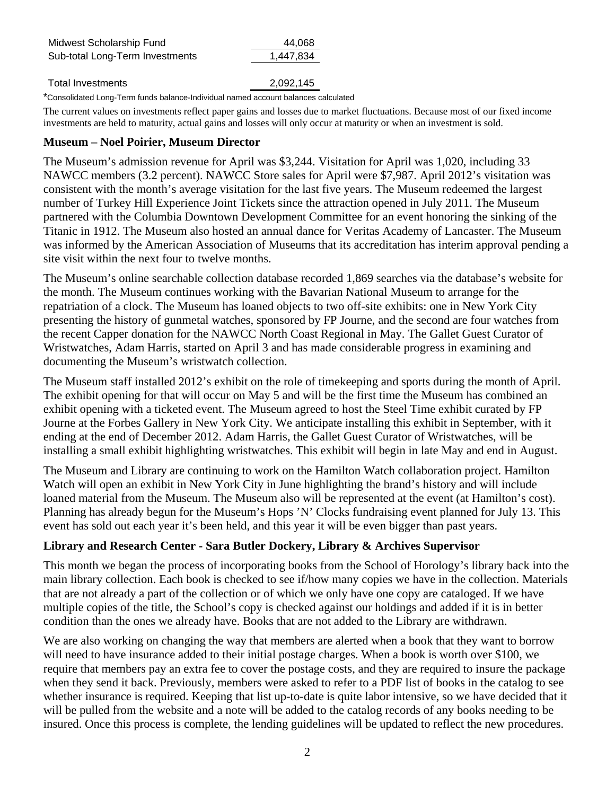| Midwest Scholarship Fund        | 44,068    |  |
|---------------------------------|-----------|--|
| Sub-total Long-Term Investments | 1,447,834 |  |
|                                 |           |  |

Total Investments 2,092,145

\*Consolidated Long-Term funds balance-Individual named account balances calculated

The current values on investments reflect paper gains and losses due to market fluctuations. Because most of our fixed income investments are held to maturity, actual gains and losses will only occur at maturity or when an investment is sold.

#### **Museum – Noel Poirier, Museum Director**

The Museum's admission revenue for April was \$3,244. Visitation for April was 1,020, including 33 NAWCC members (3.2 percent). NAWCC Store sales for April were \$7,987. April 2012's visitation was consistent with the month's average visitation for the last five years. The Museum redeemed the largest number of Turkey Hill Experience Joint Tickets since the attraction opened in July 2011. The Museum partnered with the Columbia Downtown Development Committee for an event honoring the sinking of the Titanic in 1912. The Museum also hosted an annual dance for Veritas Academy of Lancaster. The Museum was informed by the American Association of Museums that its accreditation has interim approval pending a site visit within the next four to twelve months.

The Museum's online searchable collection database recorded 1,869 searches via the database's website for the month. The Museum continues working with the Bavarian National Museum to arrange for the repatriation of a clock. The Museum has loaned objects to two off-site exhibits: one in New York City presenting the history of gunmetal watches, sponsored by FP Journe, and the second are four watches from the recent Capper donation for the NAWCC North Coast Regional in May. The Gallet Guest Curator of Wristwatches, Adam Harris, started on April 3 and has made considerable progress in examining and documenting the Museum's wristwatch collection.

The Museum staff installed 2012's exhibit on the role of timekeeping and sports during the month of April. The exhibit opening for that will occur on May 5 and will be the first time the Museum has combined an exhibit opening with a ticketed event. The Museum agreed to host the Steel Time exhibit curated by FP Journe at the Forbes Gallery in New York City. We anticipate installing this exhibit in September, with it ending at the end of December 2012. Adam Harris, the Gallet Guest Curator of Wristwatches, will be installing a small exhibit highlighting wristwatches. This exhibit will begin in late May and end in August.

The Museum and Library are continuing to work on the Hamilton Watch collaboration project. Hamilton Watch will open an exhibit in New York City in June highlighting the brand's history and will include loaned material from the Museum. The Museum also will be represented at the event (at Hamilton's cost). Planning has already begun for the Museum's Hops 'N' Clocks fundraising event planned for July 13. This event has sold out each year it's been held, and this year it will be even bigger than past years.

## **Library and Research Center - Sara Butler Dockery, Library & Archives Supervisor**

This month we began the process of incorporating books from the School of Horology's library back into the main library collection. Each book is checked to see if/how many copies we have in the collection. Materials that are not already a part of the collection or of which we only have one copy are cataloged. If we have multiple copies of the title, the School's copy is checked against our holdings and added if it is in better condition than the ones we already have. Books that are not added to the Library are withdrawn.

We are also working on changing the way that members are alerted when a book that they want to borrow will need to have insurance added to their initial postage charges. When a book is worth over \$100, we require that members pay an extra fee to cover the postage costs, and they are required to insure the package when they send it back. Previously, members were asked to refer to a PDF list of books in the catalog to see whether insurance is required. Keeping that list up-to-date is quite labor intensive, so we have decided that it will be pulled from the website and a note will be added to the catalog records of any books needing to be insured. Once this process is complete, the lending guidelines will be updated to reflect the new procedures.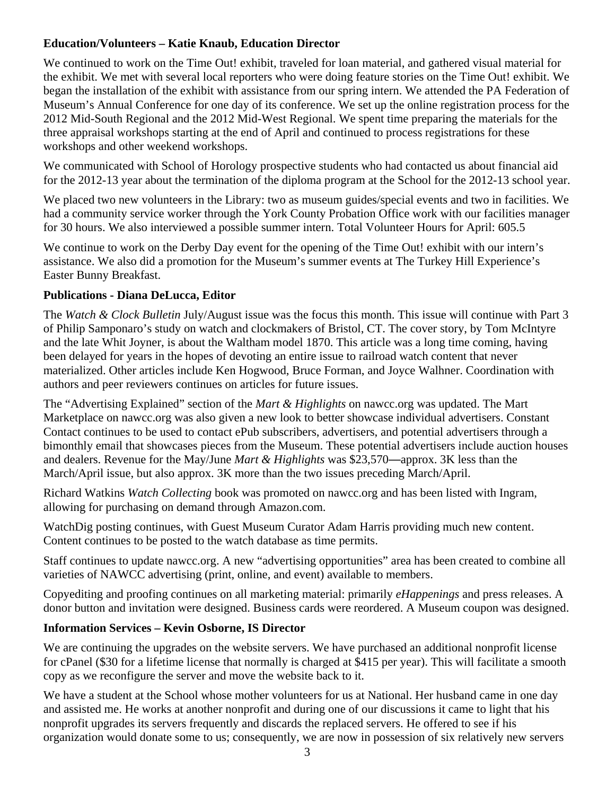## **Education/Volunteers – Katie Knaub, Education Director**

We continued to work on the Time Out! exhibit, traveled for loan material, and gathered visual material for the exhibit. We met with several local reporters who were doing feature stories on the Time Out! exhibit. We began the installation of the exhibit with assistance from our spring intern. We attended the PA Federation of Museum's Annual Conference for one day of its conference. We set up the online registration process for the 2012 Mid-South Regional and the 2012 Mid-West Regional. We spent time preparing the materials for the three appraisal workshops starting at the end of April and continued to process registrations for these workshops and other weekend workshops.

We communicated with School of Horology prospective students who had contacted us about financial aid for the 2012-13 year about the termination of the diploma program at the School for the 2012-13 school year.

We placed two new volunteers in the Library: two as museum guides/special events and two in facilities. We had a community service worker through the York County Probation Office work with our facilities manager for 30 hours. We also interviewed a possible summer intern. Total Volunteer Hours for April: 605.5

We continue to work on the Derby Day event for the opening of the Time Out! exhibit with our intern's assistance. We also did a promotion for the Museum's summer events at The Turkey Hill Experience's Easter Bunny Breakfast.

## **Publications - Diana DeLucca, Editor**

The *Watch & Clock Bulletin* July/August issue was the focus this month. This issue will continue with Part 3 of Philip Samponaro's study on watch and clockmakers of Bristol, CT. The cover story, by Tom McIntyre and the late Whit Joyner, is about the Waltham model 1870. This article was a long time coming, having been delayed for years in the hopes of devoting an entire issue to railroad watch content that never materialized. Other articles include Ken Hogwood, Bruce Forman, and Joyce Walhner. Coordination with authors and peer reviewers continues on articles for future issues.

The "Advertising Explained" section of the *Mart & Highlights* on nawcc.org was updated. The Mart Marketplace on nawcc.org was also given a new look to better showcase individual advertisers. Constant Contact continues to be used to contact ePub subscribers, advertisers, and potential advertisers through a bimonthly email that showcases pieces from the Museum. These potential advertisers include auction houses and dealers. Revenue for the May/June *Mart & Highlights* was \$23,570—approx. 3K less than the March/April issue, but also approx. 3K more than the two issues preceding March/April.

Richard Watkins *Watch Collecting* book was promoted on nawcc.org and has been listed with Ingram, allowing for purchasing on demand through Amazon.com.

WatchDig posting continues, with Guest Museum Curator Adam Harris providing much new content. Content continues to be posted to the watch database as time permits.

Staff continues to update nawcc.org. A new "advertising opportunities" area has been created to combine all varieties of NAWCC advertising (print, online, and event) available to members.

Copyediting and proofing continues on all marketing material: primarily *eHappenings* and press releases. A donor button and invitation were designed. Business cards were reordered. A Museum coupon was designed.

# **Information Services – Kevin Osborne, IS Director**

We are continuing the upgrades on the website servers. We have purchased an additional nonprofit license for cPanel (\$30 for a lifetime license that normally is charged at \$415 per year). This will facilitate a smooth copy as we reconfigure the server and move the website back to it.

We have a student at the School whose mother volunteers for us at National. Her husband came in one day and assisted me. He works at another nonprofit and during one of our discussions it came to light that his nonprofit upgrades its servers frequently and discards the replaced servers. He offered to see if his organization would donate some to us; consequently, we are now in possession of six relatively new servers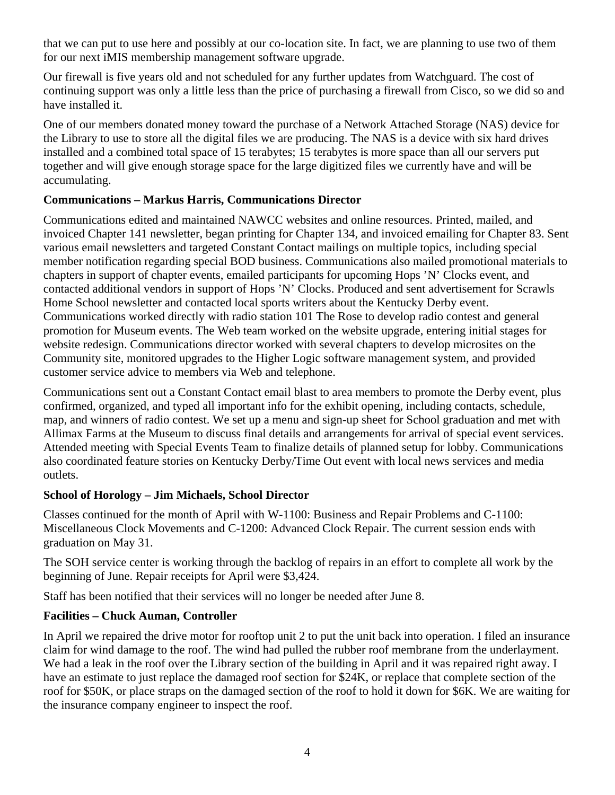that we can put to use here and possibly at our co-location site. In fact, we are planning to use two of them for our next iMIS membership management software upgrade.

Our firewall is five years old and not scheduled for any further updates from Watchguard. The cost of continuing support was only a little less than the price of purchasing a firewall from Cisco, so we did so and have installed it.

One of our members donated money toward the purchase of a Network Attached Storage (NAS) device for the Library to use to store all the digital files we are producing. The NAS is a device with six hard drives installed and a combined total space of 15 terabytes; 15 terabytes is more space than all our servers put together and will give enough storage space for the large digitized files we currently have and will be accumulating.

## **Communications – Markus Harris, Communications Director**

Communications edited and maintained NAWCC websites and online resources. Printed, mailed, and invoiced Chapter 141 newsletter, began printing for Chapter 134, and invoiced emailing for Chapter 83. Sent various email newsletters and targeted Constant Contact mailings on multiple topics, including special member notification regarding special BOD business. Communications also mailed promotional materials to chapters in support of chapter events, emailed participants for upcoming Hops 'N' Clocks event, and contacted additional vendors in support of Hops 'N' Clocks. Produced and sent advertisement for Scrawls Home School newsletter and contacted local sports writers about the Kentucky Derby event. Communications worked directly with radio station 101 The Rose to develop radio contest and general promotion for Museum events. The Web team worked on the website upgrade, entering initial stages for website redesign. Communications director worked with several chapters to develop microsites on the Community site, monitored upgrades to the Higher Logic software management system, and provided customer service advice to members via Web and telephone.

Communications sent out a Constant Contact email blast to area members to promote the Derby event, plus confirmed, organized, and typed all important info for the exhibit opening, including contacts, schedule, map, and winners of radio contest. We set up a menu and sign-up sheet for School graduation and met with Allimax Farms at the Museum to discuss final details and arrangements for arrival of special event services. Attended meeting with Special Events Team to finalize details of planned setup for lobby. Communications also coordinated feature stories on Kentucky Derby/Time Out event with local news services and media outlets.

### **School of Horology – Jim Michaels, School Director**

Classes continued for the month of April with W-1100: Business and Repair Problems and C-1100: Miscellaneous Clock Movements and C-1200: Advanced Clock Repair. The current session ends with graduation on May 31.

The SOH service center is working through the backlog of repairs in an effort to complete all work by the beginning of June. Repair receipts for April were \$3,424.

Staff has been notified that their services will no longer be needed after June 8.

### **Facilities – Chuck Auman, Controller**

In April we repaired the drive motor for rooftop unit 2 to put the unit back into operation. I filed an insurance claim for wind damage to the roof. The wind had pulled the rubber roof membrane from the underlayment. We had a leak in the roof over the Library section of the building in April and it was repaired right away. I have an estimate to just replace the damaged roof section for \$24K, or replace that complete section of the roof for \$50K, or place straps on the damaged section of the roof to hold it down for \$6K. We are waiting for the insurance company engineer to inspect the roof.